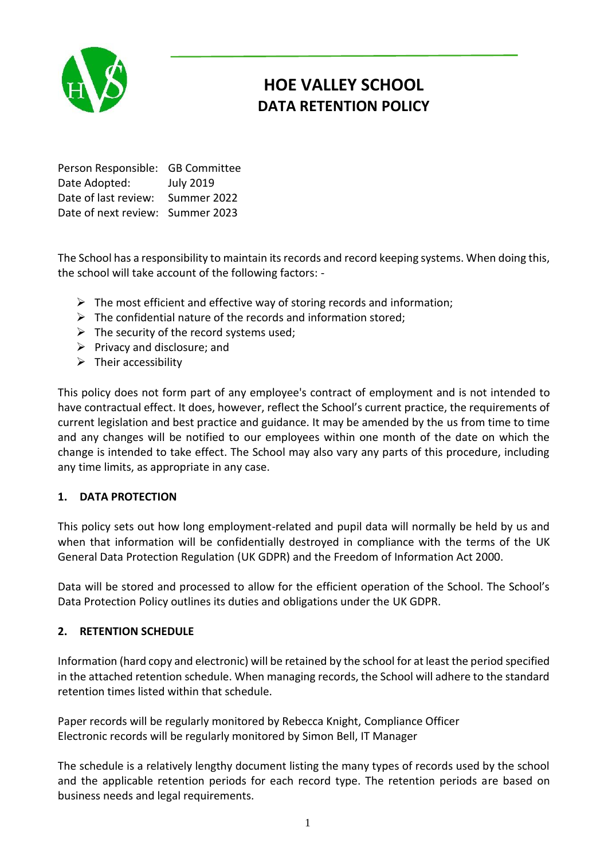

# **HOE VALLEY SCHOOL DATA RETENTION POLICY**

Person Responsible: GB Committee Date Adopted: July 2019 Date of last review: Summer 2022 Date of next review: Summer 2023

The School has a responsibility to maintain its records and record keeping systems. When doing this, the school will take account of the following factors: -

- $\triangleright$  The most efficient and effective way of storing records and information;
- $\triangleright$  The confidential nature of the records and information stored;
- $\triangleright$  The security of the record systems used;
- $\triangleright$  Privacy and disclosure; and
- $\triangleright$  Their accessibility

This policy does not form part of any employee's contract of employment and is not intended to have contractual effect. It does, however, reflect the School's current practice, the requirements of current legislation and best practice and guidance. It may be amended by the us from time to time and any changes will be notified to our employees within one month of the date on which the change is intended to take effect. The School may also vary any parts of this procedure, including any time limits, as appropriate in any case.

# **1. DATA PROTECTION**

This policy sets out how long employment-related and pupil data will normally be held by us and when that information will be confidentially destroyed in compliance with the terms of the UK General Data Protection Regulation (UK GDPR) and the Freedom of Information Act 2000.

Data will be stored and processed to allow for the efficient operation of the School. The School's Data Protection Policy outlines its duties and obligations under the UK GDPR.

## **2. RETENTION SCHEDULE**

Information (hard copy and electronic) will be retained by the school for at least the period specified in the attached retention schedule. When managing records, the School will adhere to the standard retention times listed within that schedule.

Paper records will be regularly monitored by Rebecca Knight, Compliance Officer Electronic records will be regularly monitored by Simon Bell, IT Manager

The schedule is a relatively lengthy document listing the many types of records used by the school and the applicable retention periods for each record type. The retention periods are based on business needs and legal requirements.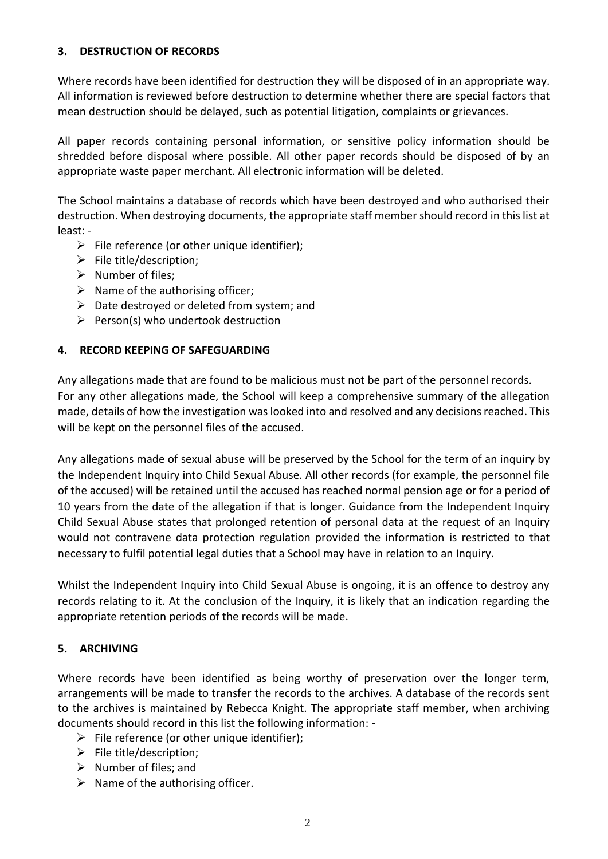# **3. DESTRUCTION OF RECORDS**

Where records have been identified for destruction they will be disposed of in an appropriate way. All information is reviewed before destruction to determine whether there are special factors that mean destruction should be delayed, such as potential litigation, complaints or grievances.

All paper records containing personal information, or sensitive policy information should be shredded before disposal where possible. All other paper records should be disposed of by an appropriate waste paper merchant. All electronic information will be deleted.

The School maintains a database of records which have been destroyed and who authorised their destruction. When destroying documents, the appropriate staff member should record in this list at least: -

- $\triangleright$  File reference (or other unique identifier);
- $\triangleright$  File title/description;
- $\triangleright$  Number of files:
- $\triangleright$  Name of the authorising officer;
- $\triangleright$  Date destroyed or deleted from system; and
- $\triangleright$  Person(s) who undertook destruction

## **4. RECORD KEEPING OF SAFEGUARDING**

Any allegations made that are found to be malicious must not be part of the personnel records. For any other allegations made, the School will keep a comprehensive summary of the allegation made, details of how the investigation was looked into and resolved and any decisions reached. This will be kept on the personnel files of the accused.

Any allegations made of sexual abuse will be preserved by the School for the term of an inquiry by the Independent Inquiry into Child Sexual Abuse. All other records (for example, the personnel file of the accused) will be retained until the accused has reached normal pension age or for a period of 10 years from the date of the allegation if that is longer. Guidance from the Independent Inquiry Child Sexual Abuse states that prolonged retention of personal data at the request of an Inquiry would not contravene data protection regulation provided the information is restricted to that necessary to fulfil potential legal duties that a School may have in relation to an Inquiry.

Whilst the Independent Inquiry into Child Sexual Abuse is ongoing, it is an offence to destroy any records relating to it. At the conclusion of the Inquiry, it is likely that an indication regarding the appropriate retention periods of the records will be made.

## **5. ARCHIVING**

Where records have been identified as being worthy of preservation over the longer term, arrangements will be made to transfer the records to the archives. A database of the records sent to the archives is maintained by Rebecca Knight. The appropriate staff member, when archiving documents should record in this list the following information: -

- $\triangleright$  File reference (or other unique identifier);
- $\triangleright$  File title/description;
- $\triangleright$  Number of files; and
- $\triangleright$  Name of the authorising officer.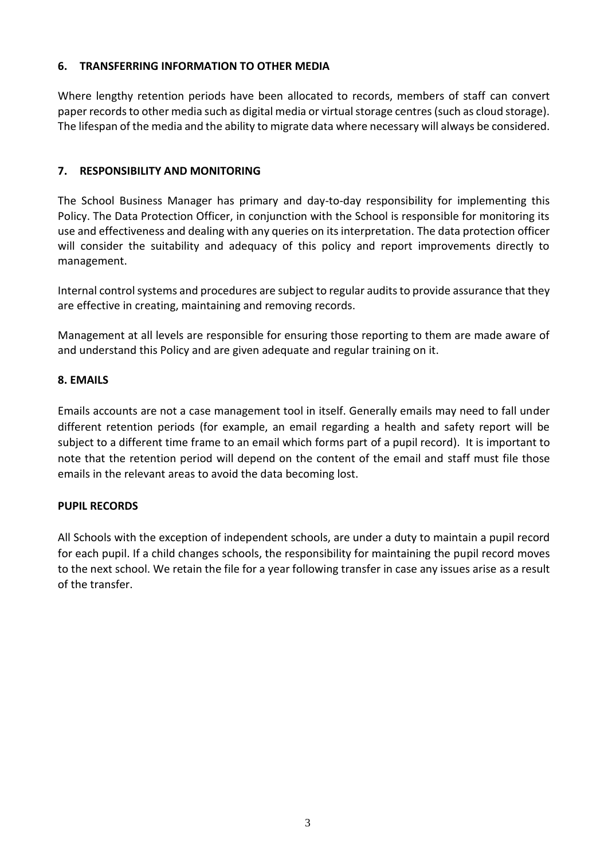# **6. TRANSFERRING INFORMATION TO OTHER MEDIA**

Where lengthy retention periods have been allocated to records, members of staff can convert paper records to other media such as digital media or virtual storage centres (such as cloud storage). The lifespan of the media and the ability to migrate data where necessary will always be considered.

# **7. RESPONSIBILITY AND MONITORING**

The School Business Manager has primary and day-to-day responsibility for implementing this Policy. The Data Protection Officer, in conjunction with the School is responsible for monitoring its use and effectiveness and dealing with any queries on its interpretation. The data protection officer will consider the suitability and adequacy of this policy and report improvements directly to management.

Internal control systems and procedures are subject to regular audits to provide assurance that they are effective in creating, maintaining and removing records.

Management at all levels are responsible for ensuring those reporting to them are made aware of and understand this Policy and are given adequate and regular training on it.

## **8. EMAILS**

Emails accounts are not a case management tool in itself. Generally emails may need to fall under different retention periods (for example, an email regarding a health and safety report will be subject to a different time frame to an email which forms part of a pupil record). It is important to note that the retention period will depend on the content of the email and staff must file those emails in the relevant areas to avoid the data becoming lost.

## **PUPIL RECORDS**

All Schools with the exception of independent schools, are under a duty to maintain a pupil record for each pupil. If a child changes schools, the responsibility for maintaining the pupil record moves to the next school. We retain the file for a year following transfer in case any issues arise as a result of the transfer.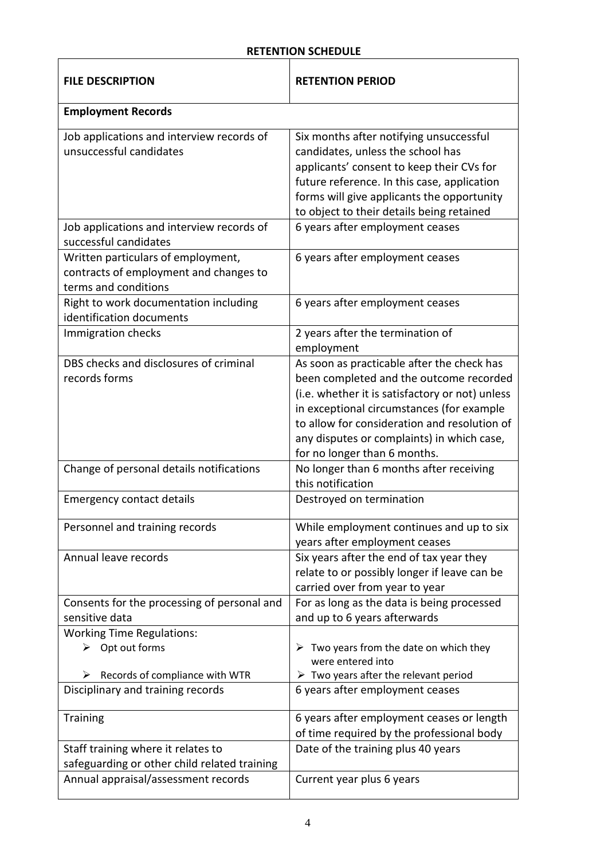# **RETENTION SCHEDULE**

| <b>FILE DESCRIPTION</b>                                                                                   | <b>RETENTION PERIOD</b>                                                                                                                                                                                                                                                                                             |
|-----------------------------------------------------------------------------------------------------------|---------------------------------------------------------------------------------------------------------------------------------------------------------------------------------------------------------------------------------------------------------------------------------------------------------------------|
| <b>Employment Records</b>                                                                                 |                                                                                                                                                                                                                                                                                                                     |
| Job applications and interview records of<br>unsuccessful candidates                                      | Six months after notifying unsuccessful<br>candidates, unless the school has<br>applicants' consent to keep their CVs for<br>future reference. In this case, application<br>forms will give applicants the opportunity<br>to object to their details being retained                                                 |
| Job applications and interview records of<br>successful candidates                                        | 6 years after employment ceases                                                                                                                                                                                                                                                                                     |
| Written particulars of employment,<br>contracts of employment and changes to<br>terms and conditions      | 6 years after employment ceases                                                                                                                                                                                                                                                                                     |
| Right to work documentation including<br>identification documents                                         | 6 years after employment ceases                                                                                                                                                                                                                                                                                     |
| Immigration checks                                                                                        | 2 years after the termination of<br>employment                                                                                                                                                                                                                                                                      |
| DBS checks and disclosures of criminal<br>records forms                                                   | As soon as practicable after the check has<br>been completed and the outcome recorded<br>(i.e. whether it is satisfactory or not) unless<br>in exceptional circumstances (for example<br>to allow for consideration and resolution of<br>any disputes or complaints) in which case,<br>for no longer than 6 months. |
| Change of personal details notifications                                                                  | No longer than 6 months after receiving<br>this notification                                                                                                                                                                                                                                                        |
| <b>Emergency contact details</b>                                                                          | Destroyed on termination                                                                                                                                                                                                                                                                                            |
| Personnel and training records                                                                            | While employment continues and up to six<br>years after employment ceases                                                                                                                                                                                                                                           |
| Annual leave records                                                                                      | Six years after the end of tax year they<br>relate to or possibly longer if leave can be<br>carried over from year to year                                                                                                                                                                                          |
| Consents for the processing of personal and<br>sensitive data                                             | For as long as the data is being processed<br>and up to 6 years afterwards                                                                                                                                                                                                                                          |
| <b>Working Time Regulations:</b><br>$\triangleright$ Opt out forms<br>Records of compliance with WTR<br>➤ | $\triangleright$ Two years from the date on which they<br>were entered into<br>$\triangleright$ Two years after the relevant period                                                                                                                                                                                 |
| Disciplinary and training records                                                                         | 6 years after employment ceases                                                                                                                                                                                                                                                                                     |
| Training                                                                                                  | 6 years after employment ceases or length<br>of time required by the professional body                                                                                                                                                                                                                              |
| Staff training where it relates to<br>safeguarding or other child related training                        | Date of the training plus 40 years                                                                                                                                                                                                                                                                                  |
| Annual appraisal/assessment records                                                                       | Current year plus 6 years                                                                                                                                                                                                                                                                                           |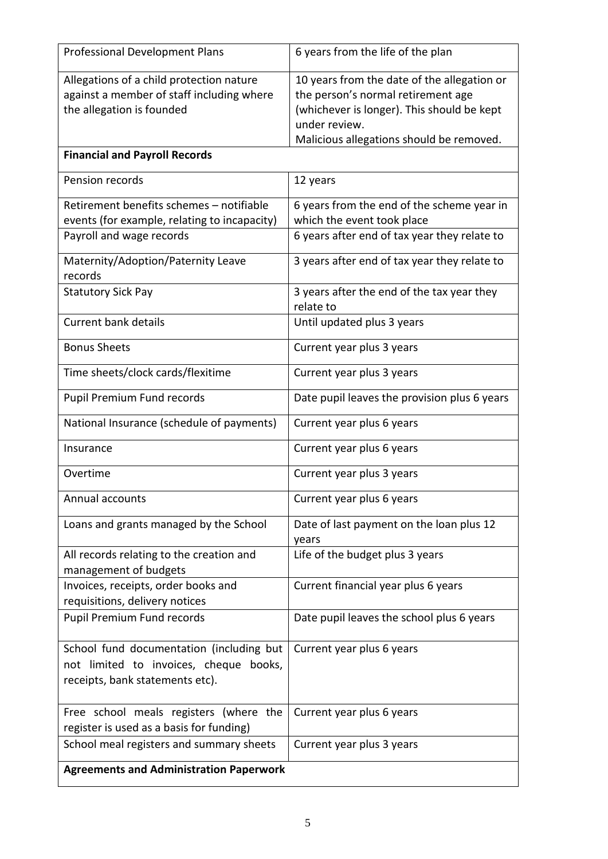| <b>Professional Development Plans</b>                             | 6 years from the life of the plan                 |
|-------------------------------------------------------------------|---------------------------------------------------|
| Allegations of a child protection nature                          | 10 years from the date of the allegation or       |
| against a member of staff including where                         | the person's normal retirement age                |
| the allegation is founded                                         | (whichever is longer). This should be kept        |
|                                                                   | under review.                                     |
|                                                                   | Malicious allegations should be removed.          |
| <b>Financial and Payroll Records</b>                              |                                                   |
|                                                                   |                                                   |
| Pension records                                                   | 12 years                                          |
| Retirement benefits schemes - notifiable                          | 6 years from the end of the scheme year in        |
| events (for example, relating to incapacity)                      | which the event took place                        |
| Payroll and wage records                                          | 6 years after end of tax year they relate to      |
| Maternity/Adoption/Paternity Leave<br>records                     | 3 years after end of tax year they relate to      |
| <b>Statutory Sick Pay</b>                                         | 3 years after the end of the tax year they        |
|                                                                   | relate to                                         |
| <b>Current bank details</b>                                       | Until updated plus 3 years                        |
| <b>Bonus Sheets</b>                                               | Current year plus 3 years                         |
| Time sheets/clock cards/flexitime                                 | Current year plus 3 years                         |
| Pupil Premium Fund records                                        | Date pupil leaves the provision plus 6 years      |
| National Insurance (schedule of payments)                         | Current year plus 6 years                         |
| Insurance                                                         | Current year plus 6 years                         |
| Overtime                                                          | Current year plus 3 years                         |
| Annual accounts                                                   | Current year plus 6 years                         |
| Loans and grants managed by the School                            | Date of last payment on the loan plus 12<br>years |
| All records relating to the creation and<br>management of budgets | Life of the budget plus 3 years                   |
| Invoices, receipts, order books and                               | Current financial year plus 6 years               |
| requisitions, delivery notices                                    |                                                   |
|                                                                   |                                                   |
| Pupil Premium Fund records                                        | Date pupil leaves the school plus 6 years         |
| School fund documentation (including but                          | Current year plus 6 years                         |
| not limited to invoices, cheque books,                            |                                                   |
| receipts, bank statements etc).                                   |                                                   |
|                                                                   |                                                   |
| Free school meals registers (where the                            | Current year plus 6 years                         |
|                                                                   |                                                   |
| register is used as a basis for funding)                          |                                                   |
| School meal registers and summary sheets                          | Current year plus 3 years                         |
| <b>Agreements and Administration Paperwork</b>                    |                                                   |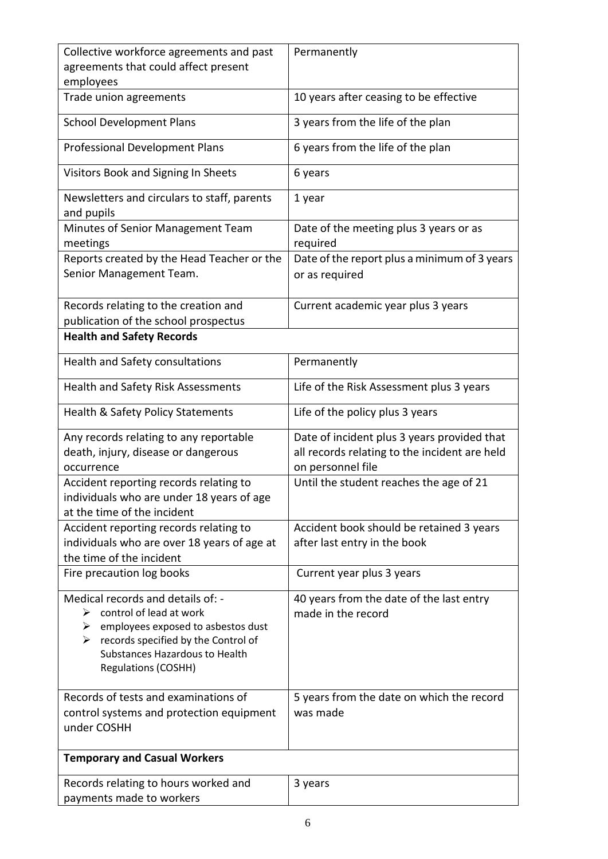| Collective workforce agreements and past<br>agreements that could affect present<br>employees | Permanently                                   |
|-----------------------------------------------------------------------------------------------|-----------------------------------------------|
| Trade union agreements                                                                        | 10 years after ceasing to be effective        |
| <b>School Development Plans</b>                                                               | 3 years from the life of the plan             |
| <b>Professional Development Plans</b>                                                         | 6 years from the life of the plan             |
| Visitors Book and Signing In Sheets                                                           | 6 years                                       |
| Newsletters and circulars to staff, parents<br>and pupils                                     | 1 year                                        |
| Minutes of Senior Management Team                                                             | Date of the meeting plus 3 years or as        |
| meetings                                                                                      | required                                      |
| Reports created by the Head Teacher or the                                                    | Date of the report plus a minimum of 3 years  |
| Senior Management Team.                                                                       | or as required                                |
| Records relating to the creation and<br>publication of the school prospectus                  | Current academic year plus 3 years            |
| <b>Health and Safety Records</b>                                                              |                                               |
| Health and Safety consultations                                                               | Permanently                                   |
| Health and Safety Risk Assessments                                                            | Life of the Risk Assessment plus 3 years      |
| Health & Safety Policy Statements                                                             | Life of the policy plus 3 years               |
| Any records relating to any reportable                                                        | Date of incident plus 3 years provided that   |
| death, injury, disease or dangerous                                                           | all records relating to the incident are held |
| occurrence                                                                                    | on personnel file                             |
| Accident reporting records relating to                                                        | Until the student reaches the age of 21       |
| individuals who are under 18 years of age                                                     |                                               |
| at the time of the incident                                                                   |                                               |
| Accident reporting records relating to                                                        | Accident book should be retained 3 years      |
| individuals who are over 18 years of age at                                                   | after last entry in the book                  |
| the time of the incident                                                                      |                                               |
| Fire precaution log books                                                                     | Current year plus 3 years                     |
| Medical records and details of: -                                                             | 40 years from the date of the last entry      |
| control of lead at work<br>➤                                                                  | made in the record                            |
| employees exposed to asbestos dust<br>➤                                                       |                                               |
| records specified by the Control of<br>➤                                                      |                                               |
| Substances Hazardous to Health<br><b>Regulations (COSHH)</b>                                  |                                               |
|                                                                                               |                                               |
| Records of tests and examinations of                                                          | 5 years from the date on which the record     |
| control systems and protection equipment                                                      | was made                                      |
| under COSHH                                                                                   |                                               |
| <b>Temporary and Casual Workers</b>                                                           |                                               |
| Records relating to hours worked and                                                          | 3 years                                       |
| payments made to workers                                                                      |                                               |
|                                                                                               |                                               |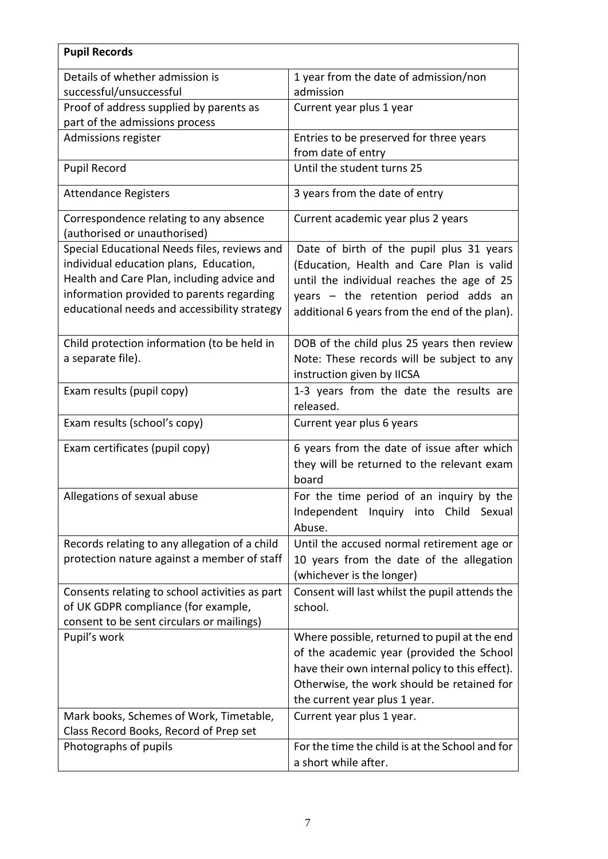| <b>Pupil Records</b>                                                                                                                                                              |                                                                                                                                                                                                                             |
|-----------------------------------------------------------------------------------------------------------------------------------------------------------------------------------|-----------------------------------------------------------------------------------------------------------------------------------------------------------------------------------------------------------------------------|
| Details of whether admission is                                                                                                                                                   | 1 year from the date of admission/non                                                                                                                                                                                       |
| successful/unsuccessful                                                                                                                                                           | admission                                                                                                                                                                                                                   |
| Proof of address supplied by parents as<br>part of the admissions process                                                                                                         | Current year plus 1 year                                                                                                                                                                                                    |
| Admissions register                                                                                                                                                               | Entries to be preserved for three years<br>from date of entry                                                                                                                                                               |
| <b>Pupil Record</b>                                                                                                                                                               | Until the student turns 25                                                                                                                                                                                                  |
| <b>Attendance Registers</b>                                                                                                                                                       | 3 years from the date of entry                                                                                                                                                                                              |
| Correspondence relating to any absence<br>(authorised or unauthorised)                                                                                                            | Current academic year plus 2 years                                                                                                                                                                                          |
| Special Educational Needs files, reviews and                                                                                                                                      | Date of birth of the pupil plus 31 years                                                                                                                                                                                    |
| individual education plans, Education,<br>Health and Care Plan, including advice and<br>information provided to parents regarding<br>educational needs and accessibility strategy | (Education, Health and Care Plan is valid<br>until the individual reaches the age of 25<br>years - the retention period adds an<br>additional 6 years from the end of the plan).                                            |
| Child protection information (to be held in<br>a separate file).                                                                                                                  | DOB of the child plus 25 years then review                                                                                                                                                                                  |
|                                                                                                                                                                                   | Note: These records will be subject to any<br>instruction given by IICSA                                                                                                                                                    |
| Exam results (pupil copy)                                                                                                                                                         | 1-3 years from the date the results are<br>released.                                                                                                                                                                        |
| Exam results (school's copy)                                                                                                                                                      | Current year plus 6 years                                                                                                                                                                                                   |
| Exam certificates (pupil copy)                                                                                                                                                    | 6 years from the date of issue after which<br>they will be returned to the relevant exam<br>board                                                                                                                           |
| Allegations of sexual abuse                                                                                                                                                       | For the time period of an inquiry by the<br>Independent Inquiry into Child Sexual<br>Abuse.                                                                                                                                 |
| Records relating to any allegation of a child<br>protection nature against a member of staff                                                                                      | Until the accused normal retirement age or<br>10 years from the date of the allegation<br>(whichever is the longer)                                                                                                         |
| Consents relating to school activities as part<br>of UK GDPR compliance (for example,<br>consent to be sent circulars or mailings)                                                | Consent will last whilst the pupil attends the<br>school.                                                                                                                                                                   |
| Pupil's work                                                                                                                                                                      | Where possible, returned to pupil at the end<br>of the academic year (provided the School<br>have their own internal policy to this effect).<br>Otherwise, the work should be retained for<br>the current year plus 1 year. |
| Mark books, Schemes of Work, Timetable,<br>Class Record Books, Record of Prep set                                                                                                 | Current year plus 1 year.                                                                                                                                                                                                   |
| Photographs of pupils                                                                                                                                                             | For the time the child is at the School and for<br>a short while after.                                                                                                                                                     |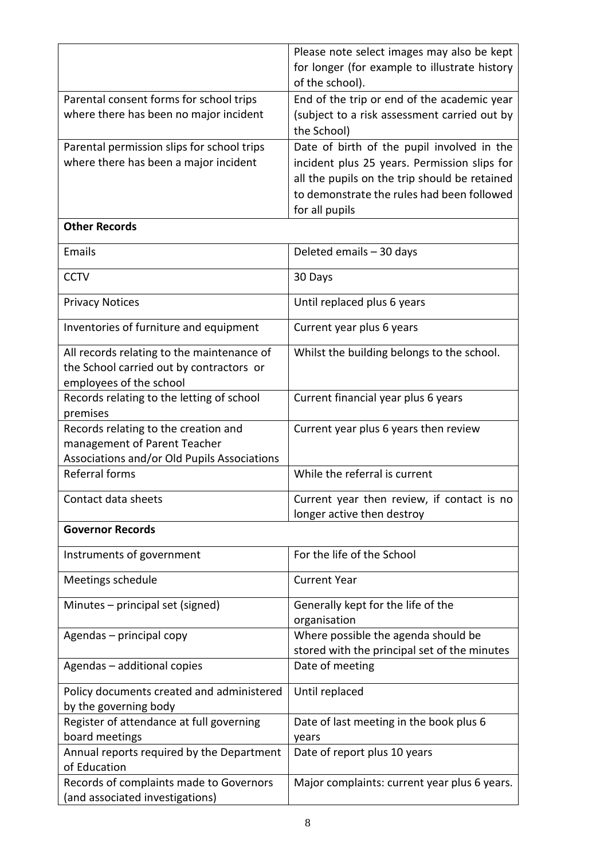|                                                                      | Please note select images may also be kept    |
|----------------------------------------------------------------------|-----------------------------------------------|
|                                                                      | for longer (for example to illustrate history |
|                                                                      | of the school).                               |
| Parental consent forms for school trips                              | End of the trip or end of the academic year   |
| where there has been no major incident                               | (subject to a risk assessment carried out by  |
|                                                                      | the School)                                   |
| Parental permission slips for school trips                           | Date of birth of the pupil involved in the    |
| where there has been a major incident                                | incident plus 25 years. Permission slips for  |
|                                                                      | all the pupils on the trip should be retained |
|                                                                      | to demonstrate the rules had been followed    |
|                                                                      | for all pupils                                |
| <b>Other Records</b>                                                 |                                               |
| Emails                                                               | Deleted emails - 30 days                      |
| <b>CCTV</b>                                                          | 30 Days                                       |
| <b>Privacy Notices</b>                                               | Until replaced plus 6 years                   |
|                                                                      |                                               |
| Inventories of furniture and equipment                               | Current year plus 6 years                     |
| All records relating to the maintenance of                           | Whilst the building belongs to the school.    |
| the School carried out by contractors or                             |                                               |
| employees of the school                                              |                                               |
| Records relating to the letting of school                            | Current financial year plus 6 years           |
| premises                                                             |                                               |
| Records relating to the creation and<br>management of Parent Teacher | Current year plus 6 years then review         |
| Associations and/or Old Pupils Associations                          |                                               |
| <b>Referral forms</b>                                                | While the referral is current                 |
|                                                                      |                                               |
| Contact data sheets                                                  | Current year then review, if contact is no    |
|                                                                      | longer active then destroy                    |
| <b>Governor Records</b>                                              |                                               |
| Instruments of government                                            | For the life of the School                    |
| Meetings schedule                                                    | <b>Current Year</b>                           |
| Minutes – principal set (signed)                                     | Generally kept for the life of the            |
|                                                                      | organisation                                  |
| Agendas - principal copy                                             | Where possible the agenda should be           |
|                                                                      | stored with the principal set of the minutes  |
| Agendas - additional copies                                          | Date of meeting                               |
| Policy documents created and administered                            | Until replaced                                |
| by the governing body                                                |                                               |
| Register of attendance at full governing                             | Date of last meeting in the book plus 6       |
| board meetings                                                       | years                                         |
| Annual reports required by the Department<br>of Education            | Date of report plus 10 years                  |
| Records of complaints made to Governors                              | Major complaints: current year plus 6 years.  |
| (and associated investigations)                                      |                                               |